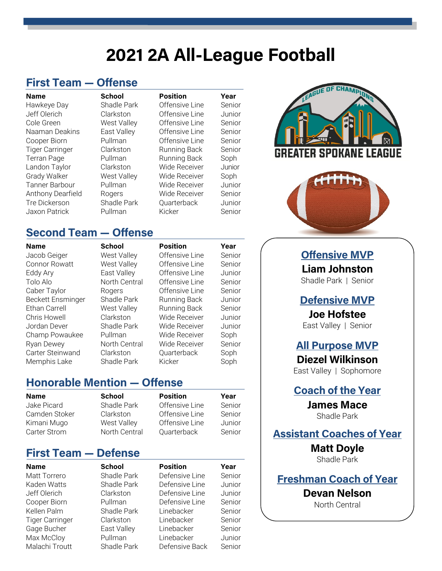## **2021 2A All-League Football**

#### **First Team — Offense**

Hawkeye Day Shadle Park Offensive Line Senior Jeff Olerich Clarkston Offensive Line Junior Cole Green **West Valley** Offensive Line Senior Naaman Deakins East Valley Offensive Line Senior Cooper Biorn Pullman Offensive Line Senior Tiger Carringer Clarkston Running Back Senior Terran Page **Pullman** Running Back Soph Landon Taylor Clarkston Wide Receiver Junior Grady Walker **West Valley** Wide Receiver Soph Tanner Barbour Pullman Wide Receiver Junior Anthony Dearfield Rogers Wide Receiver Senior Tre Dickerson Shadle Park Quarterback Junior Jaxon Patrick Pullman Kicker Senior

**Name School Position Year**

# CHAMI TER SPOKANE LEAGUE



#### **Second Team — Offense**

Jacob Geiger West Valley Offensive Line Senior Connor Rowatt West Valley Offensive Line Senior Eddy Ary East Valley Offensive Line Junior Tolo Alo **North Central** Offensive Line Senior Caber Taylor **Rogers** Offensive Line Senior Beckett Ensminger Shadle Park Running Back Junior Ethan Carrell **West Valley** Running Back Senior Chris Howell Clarkston Wide Receiver Junior Jordan Dever Shadle Park Wide Receiver Junior Champ Powaukee Pullman Wide Receiver Soph Ryan Dewey **North Central** Wide Receiver Senior Carter Steinwand Clarkston Cuarterback Soph Memphis Lake Shadle Park Kicker Soph

**Name School Position Year**

#### **Honorable Mention — Offense**

| Name          | <b>School</b> | <b>Position</b> | Year   |
|---------------|---------------|-----------------|--------|
| Jake Picard   | Shadle Park   | Offensive Line  | Senior |
| Camden Stoker | Clarkston     | Offensive Line  | Senior |
| Kimani Mugo   | West Valley   | Offensive Line  | Junior |
| Carter Strom  | North Central | Quarterback     | Senior |
|               |               |                 |        |

#### **First Team — Defense**

**Name School Position Year** Matt Torrero Shadle Park Defensive Line Senior Kaden Watts Shadle Park Defensive Line Junior Jeff Olerich Clarkston Defensive Line Junior Cooper Biorn Pullman Defensive Line Senior Kellen Palm Shadle Park Linebacker Senior Tiger Carringer Clarkston Linebacker Senior Gage Bucher **East Valley** Linebacker Senior Max McCloy Pullman Linebacker Junior Malachi Troutt Shadle Park Defensive Back Senior

**Offensive MVP**

**Liam Johnston** Shadle Park | Senior

**Defensive MVP**

**Joe Hofstee** East Valley | Senior

#### **All Purpose MVP**

**Diezel Wilkinson** East Valley | Sophomore

**Coach of the Year**

**James Mace** Shadle Park

**Assistant Coaches of Year**

**Matt Doyle** Shadle Park

#### **Freshman Coach of Year**

**Devan Nelson**

North Central